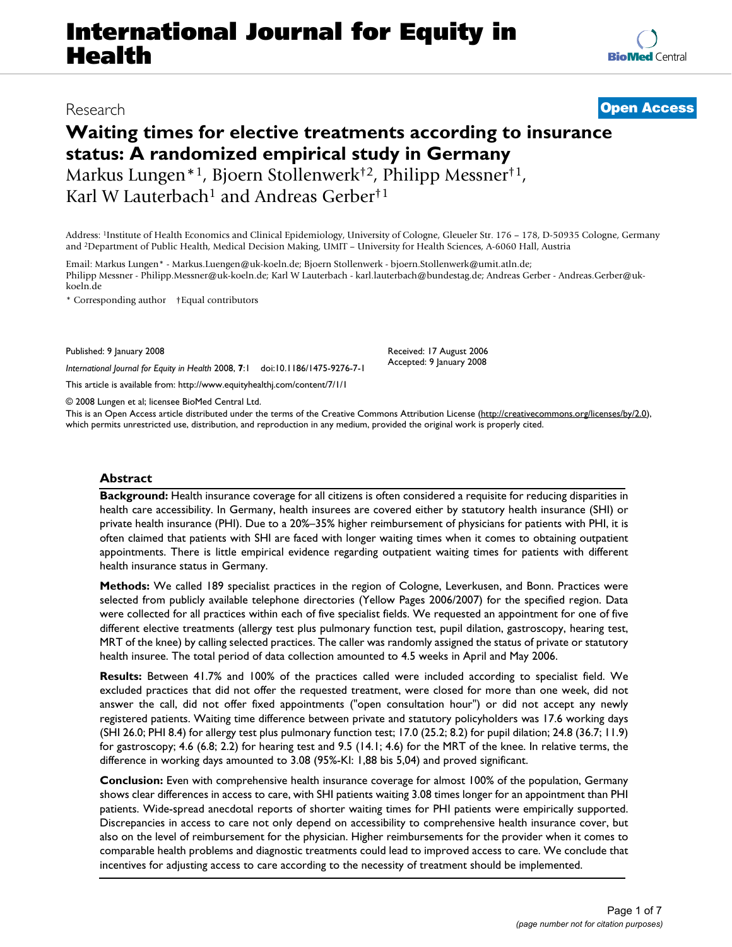# **International Journal for Equity in Health**

## **Waiting times for elective treatments according to insurance status: A randomized empirical study in Germany** Markus Lungen\*1, Bjoern Stollenwerk†2, Philipp Messner†1,

Karl W Lauterbach<sup>1</sup> and Andreas Gerber<sup>†1</sup>

Address: 1Institute of Health Economics and Clinical Epidemiology, University of Cologne, Gleueler Str. 176 – 178, D-50935 Cologne, Germany and 2Department of Public Health, Medical Decision Making, UMIT – University for Health Sciences, A-6060 Hall, Austria

Email: Markus Lungen\* - Markus.Luengen@uk-koeln.de; Bjoern Stollenwerk - bjoern.Stollenwerk@umit.atln.de; Philipp Messner - Philipp.Messner@uk-koeln.de; Karl W Lauterbach - karl.lauterbach@bundestag.de; Andreas Gerber - Andreas.Gerber@ukkoeln.de

\* Corresponding author †Equal contributors

Published: 9 January 2008

*International Journal for Equity in Health* 2008, **7**:1 doi:10.1186/1475-9276-7-1

[This article is available from: http://www.equityhealthj.com/content/7/1/1](http://www.equityhealthj.com/content/7/1/1)

© 2008 Lungen et al; licensee BioMed Central Ltd.

This is an Open Access article distributed under the terms of the Creative Commons Attribution License [\(http://creativecommons.org/licenses/by/2.0\)](http://creativecommons.org/licenses/by/2.0), which permits unrestricted use, distribution, and reproduction in any medium, provided the original work is properly cited.

#### **Abstract**

**Background:** Health insurance coverage for all citizens is often considered a requisite for reducing disparities in health care accessibility. In Germany, health insurees are covered either by statutory health insurance (SHI) or private health insurance (PHI). Due to a 20%–35% higher reimbursement of physicians for patients with PHI, it is often claimed that patients with SHI are faced with longer waiting times when it comes to obtaining outpatient appointments. There is little empirical evidence regarding outpatient waiting times for patients with different health insurance status in Germany.

**Methods:** We called 189 specialist practices in the region of Cologne, Leverkusen, and Bonn. Practices were selected from publicly available telephone directories (Yellow Pages 2006/2007) for the specified region. Data were collected for all practices within each of five specialist fields. We requested an appointment for one of five different elective treatments (allergy test plus pulmonary function test, pupil dilation, gastroscopy, hearing test, MRT of the knee) by calling selected practices. The caller was randomly assigned the status of private or statutory health insuree. The total period of data collection amounted to 4.5 weeks in April and May 2006.

**Results:** Between 41.7% and 100% of the practices called were included according to specialist field. We excluded practices that did not offer the requested treatment, were closed for more than one week, did not answer the call, did not offer fixed appointments ("open consultation hour") or did not accept any newly registered patients. Waiting time difference between private and statutory policyholders was 17.6 working days (SHI 26.0; PHI 8.4) for allergy test plus pulmonary function test; 17.0 (25.2; 8.2) for pupil dilation; 24.8 (36.7; 11.9) for gastroscopy; 4.6 (6.8; 2.2) for hearing test and 9.5 (14.1; 4.6) for the MRT of the knee. In relative terms, the difference in working days amounted to 3.08 (95%-KI: 1,88 bis 5,04) and proved significant.

**Conclusion:** Even with comprehensive health insurance coverage for almost 100% of the population, Germany shows clear differences in access to care, with SHI patients waiting 3.08 times longer for an appointment than PHI patients. Wide-spread anecdotal reports of shorter waiting times for PHI patients were empirically supported. Discrepancies in access to care not only depend on accessibility to comprehensive health insurance cover, but also on the level of reimbursement for the physician. Higher reimbursements for the provider when it comes to comparable health problems and diagnostic treatments could lead to improved access to care. We conclude that incentives for adjusting access to care according to the necessity of treatment should be implemented.





Received: 17 August 2006 Accepted: 9 January 2008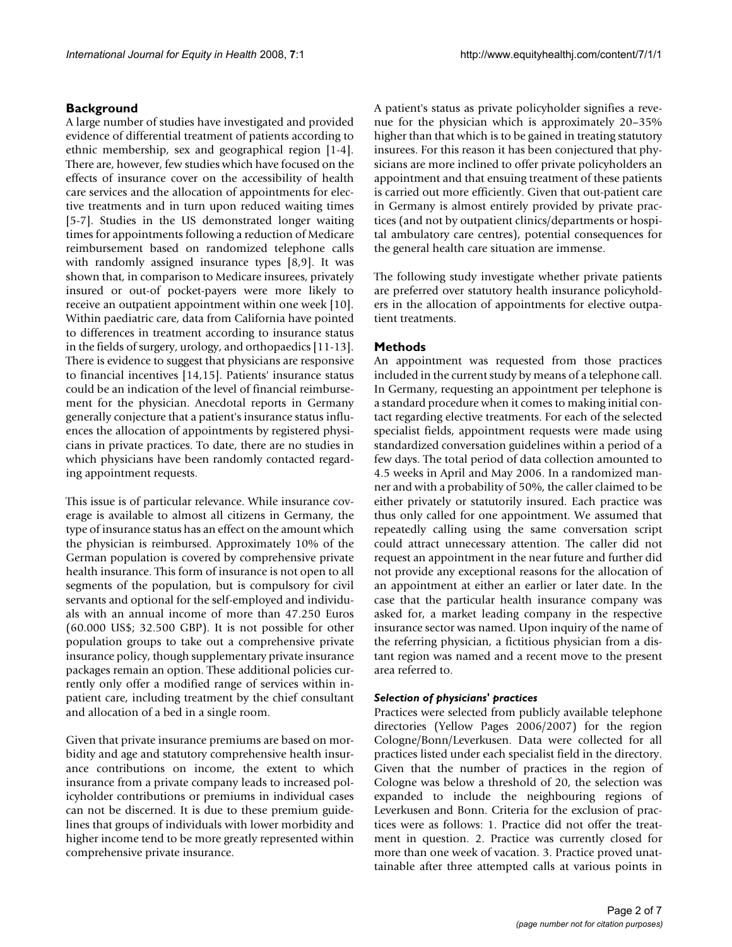#### **Background**

A large number of studies have investigated and provided evidence of differential treatment of patients according to ethnic membership, sex and geographical region [1-4]. There are, however, few studies which have focused on the effects of insurance cover on the accessibility of health care services and the allocation of appointments for elective treatments and in turn upon reduced waiting times [5-7]. Studies in the US demonstrated longer waiting times for appointments following a reduction of Medicare reimbursement based on randomized telephone calls with randomly assigned insurance types [8,9]. It was shown that, in comparison to Medicare insurees, privately insured or out-of pocket-payers were more likely to receive an outpatient appointment within one week [10]. Within paediatric care, data from California have pointed to differences in treatment according to insurance status in the fields of surgery, urology, and orthopaedics [11-13]. There is evidence to suggest that physicians are responsive to financial incentives [14,15]. Patients' insurance status could be an indication of the level of financial reimbursement for the physician. Anecdotal reports in Germany generally conjecture that a patient's insurance status influences the allocation of appointments by registered physicians in private practices. To date, there are no studies in which physicians have been randomly contacted regarding appointment requests.

This issue is of particular relevance. While insurance coverage is available to almost all citizens in Germany, the type of insurance status has an effect on the amount which the physician is reimbursed. Approximately 10% of the German population is covered by comprehensive private health insurance. This form of insurance is not open to all segments of the population, but is compulsory for civil servants and optional for the self-employed and individuals with an annual income of more than 47.250 Euros (60.000 US\$; 32.500 GBP). It is not possible for other population groups to take out a comprehensive private insurance policy, though supplementary private insurance packages remain an option. These additional policies currently only offer a modified range of services within inpatient care, including treatment by the chief consultant and allocation of a bed in a single room.

Given that private insurance premiums are based on morbidity and age and statutory comprehensive health insurance contributions on income, the extent to which insurance from a private company leads to increased policyholder contributions or premiums in individual cases can not be discerned. It is due to these premium guidelines that groups of individuals with lower morbidity and higher income tend to be more greatly represented within comprehensive private insurance.

A patient's status as private policyholder signifies a revenue for the physician which is approximately 20–35% higher than that which is to be gained in treating statutory insurees. For this reason it has been conjectured that physicians are more inclined to offer private policyholders an appointment and that ensuing treatment of these patients is carried out more efficiently. Given that out-patient care in Germany is almost entirely provided by private practices (and not by outpatient clinics/departments or hospital ambulatory care centres), potential consequences for the general health care situation are immense.

The following study investigate whether private patients are preferred over statutory health insurance policyholders in the allocation of appointments for elective outpatient treatments.

#### **Methods**

An appointment was requested from those practices included in the current study by means of a telephone call. In Germany, requesting an appointment per telephone is a standard procedure when it comes to making initial contact regarding elective treatments. For each of the selected specialist fields, appointment requests were made using standardized conversation guidelines within a period of a few days. The total period of data collection amounted to 4.5 weeks in April and May 2006. In a randomized manner and with a probability of 50%, the caller claimed to be either privately or statutorily insured. Each practice was thus only called for one appointment. We assumed that repeatedly calling using the same conversation script could attract unnecessary attention. The caller did not request an appointment in the near future and further did not provide any exceptional reasons for the allocation of an appointment at either an earlier or later date. In the case that the particular health insurance company was asked for, a market leading company in the respective insurance sector was named. Upon inquiry of the name of the referring physician, a fictitious physician from a distant region was named and a recent move to the present area referred to.

#### *Selection of physicians' practices*

Practices were selected from publicly available telephone directories (Yellow Pages 2006/2007) for the region Cologne/Bonn/Leverkusen. Data were collected for all practices listed under each specialist field in the directory. Given that the number of practices in the region of Cologne was below a threshold of 20, the selection was expanded to include the neighbouring regions of Leverkusen and Bonn. Criteria for the exclusion of practices were as follows: 1. Practice did not offer the treatment in question. 2. Practice was currently closed for more than one week of vacation. 3. Practice proved unattainable after three attempted calls at various points in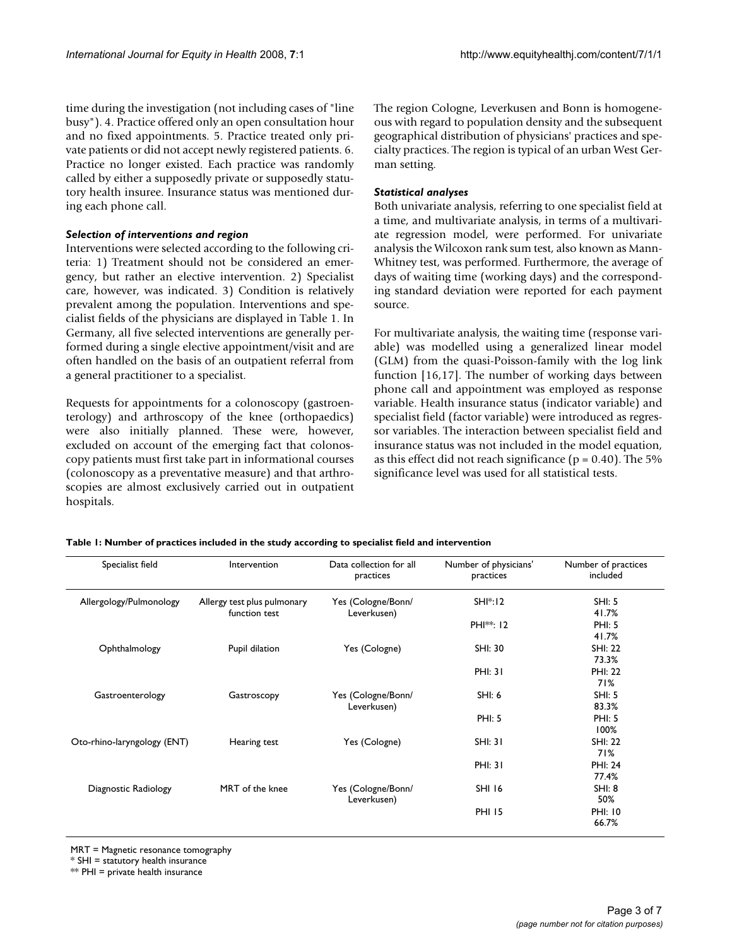time during the investigation (not including cases of "line busy"). 4. Practice offered only an open consultation hour and no fixed appointments. 5. Practice treated only private patients or did not accept newly registered patients. 6. Practice no longer existed. Each practice was randomly called by either a supposedly private or supposedly statutory health insuree. Insurance status was mentioned during each phone call.

#### *Selection of interventions and region*

Interventions were selected according to the following criteria: 1) Treatment should not be considered an emergency, but rather an elective intervention. 2) Specialist care, however, was indicated. 3) Condition is relatively prevalent among the population. Interventions and specialist fields of the physicians are displayed in Table 1. In Germany, all five selected interventions are generally performed during a single elective appointment/visit and are often handled on the basis of an outpatient referral from a general practitioner to a specialist.

Requests for appointments for a colonoscopy (gastroenterology) and arthroscopy of the knee (orthopaedics) were also initially planned. These were, however, excluded on account of the emerging fact that colonoscopy patients must first take part in informational courses (colonoscopy as a preventative measure) and that arthroscopies are almost exclusively carried out in outpatient hospitals.

The region Cologne, Leverkusen and Bonn is homogeneous with regard to population density and the subsequent geographical distribution of physicians' practices and specialty practices. The region is typical of an urban West German setting.

#### *Statistical analyses*

Both univariate analysis, referring to one specialist field at a time, and multivariate analysis, in terms of a multivariate regression model, were performed. For univariate analysis the Wilcoxon rank sum test, also known as Mann-Whitney test, was performed. Furthermore, the average of days of waiting time (working days) and the corresponding standard deviation were reported for each payment source.

For multivariate analysis, the waiting time (response variable) was modelled using a generalized linear model (GLM) from the quasi-Poisson-family with the log link function [16,17]. The number of working days between phone call and appointment was employed as response variable. Health insurance status (indicator variable) and specialist field (factor variable) were introduced as regressor variables. The interaction between specialist field and insurance status was not included in the model equation, as this effect did not reach significance ( $p = 0.40$ ). The 5% significance level was used for all statistical tests.

#### **Table 1: Number of practices included in the study according to specialist field and intervention**

| Specialist field            | Intervention                                 | Data collection for all<br>practices | Number of physicians'<br>practices | Number of practices<br>included |
|-----------------------------|----------------------------------------------|--------------------------------------|------------------------------------|---------------------------------|
| Allergology/Pulmonology     | Allergy test plus pulmonary<br>function test | Yes (Cologne/Bonn/<br>Leverkusen)    | $SHI^*I2$                          | SHI: 5<br>41.7%                 |
|                             |                                              |                                      | PHI**: 12                          | <b>PHI: 5</b><br>41.7%          |
| Ophthalmology               | Pupil dilation                               | Yes (Cologne)                        | <b>SHI: 30</b>                     | <b>SHI: 22</b><br>73.3%         |
|                             |                                              |                                      | <b>PHI: 31</b>                     | <b>PHI: 22</b><br>71%           |
| Gastroenterology            | Gastroscopy                                  | Yes (Cologne/Bonn/<br>Leverkusen)    | SHI: 6                             | SHI: 5<br>83.3%                 |
|                             |                                              |                                      | PHI: 5                             | <b>PHI: 5</b><br>100%           |
| Oto-rhino-laryngology (ENT) | Hearing test                                 | Yes (Cologne)                        | <b>SHI: 31</b>                     | <b>SHI: 22</b><br>71%           |
|                             |                                              |                                      | <b>PHI: 31</b>                     | <b>PHI: 24</b><br>77.4%         |
| Diagnostic Radiology        | MRT of the knee                              | Yes (Cologne/Bonn/<br>Leverkusen)    | <b>SHI 16</b>                      | SHI: 8<br>50%                   |
|                             |                                              |                                      | <b>PHI 15</b>                      | <b>PHI: 10</b><br>66.7%         |

MRT = Magnetic resonance tomography

\* SHI = statutory health insurance

 $**$  PHI = private health insurance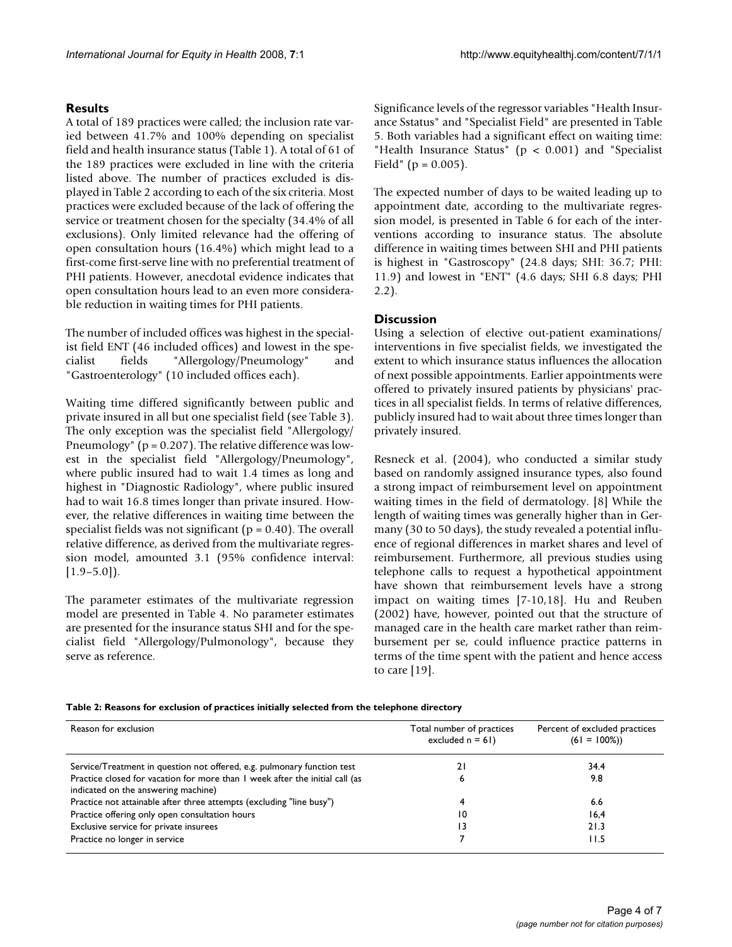#### **Results**

A total of 189 practices were called; the inclusion rate varied between 41.7% and 100% depending on specialist field and health insurance status (Table 1). A total of 61 of the 189 practices were excluded in line with the criteria listed above. The number of practices excluded is displayed in Table 2 according to each of the six criteria. Most practices were excluded because of the lack of offering the service or treatment chosen for the specialty (34.4% of all exclusions). Only limited relevance had the offering of open consultation hours (16.4%) which might lead to a first-come first-serve line with no preferential treatment of PHI patients. However, anecdotal evidence indicates that open consultation hours lead to an even more considerable reduction in waiting times for PHI patients.

The number of included offices was highest in the specialist field ENT (46 included offices) and lowest in the specialist fields "Allergology/Pneumology" and "Gastroenterology" (10 included offices each).

Waiting time differed significantly between public and private insured in all but one specialist field (see Table 3). The only exception was the specialist field "Allergology/ Pneumology" ( $p = 0.207$ ). The relative difference was lowest in the specialist field "Allergology/Pneumology", where public insured had to wait 1.4 times as long and highest in "Diagnostic Radiology", where public insured had to wait 16.8 times longer than private insured. However, the relative differences in waiting time between the specialist fields was not significant ( $p = 0.40$ ). The overall relative difference, as derived from the multivariate regression model, amounted 3.1 (95% confidence interval:  $[1.9-5.0]$ .

The parameter estimates of the multivariate regression model are presented in Table 4. No parameter estimates are presented for the insurance status SHI and for the specialist field "Allergology/Pulmonology", because they serve as reference.

Significance levels of the regressor variables "Health Insurance Sstatus" and "Specialist Field" are presented in Table 5. Both variables had a significant effect on waiting time: "Health Insurance Status" (p < 0.001) and "Specialist Field" ( $p = 0.005$ ).

The expected number of days to be waited leading up to appointment date, according to the multivariate regression model, is presented in Table 6 for each of the interventions according to insurance status. The absolute difference in waiting times between SHI and PHI patients is highest in "Gastroscopy" (24.8 days; SHI: 36.7; PHI: 11.9) and lowest in "ENT" (4.6 days; SHI 6.8 days; PHI 2.2).

### **Discussion**

Using a selection of elective out-patient examinations/ interventions in five specialist fields, we investigated the extent to which insurance status influences the allocation of next possible appointments. Earlier appointments were offered to privately insured patients by physicians' practices in all specialist fields. In terms of relative differences, publicly insured had to wait about three times longer than privately insured.

Resneck et al. (2004), who conducted a similar study based on randomly assigned insurance types, also found a strong impact of reimbursement level on appointment waiting times in the field of dermatology. [8] While the length of waiting times was generally higher than in Germany (30 to 50 days), the study revealed a potential influence of regional differences in market shares and level of reimbursement. Furthermore, all previous studies using telephone calls to request a hypothetical appointment have shown that reimbursement levels have a strong impact on waiting times [7-10,18]. Hu and Reuben (2002) have, however, pointed out that the structure of managed care in the health care market rather than reimbursement per se, could influence practice patterns in terms of the time spent with the patient and hence access to care [19].

#### **Table 2: Reasons for exclusion of practices initially selected from the telephone directory**

| Reason for exclusion                                                                                                | Total number of practices<br>excluded $n = 61$ ) | Percent of excluded practices<br>$(61 = 100\%)$ |
|---------------------------------------------------------------------------------------------------------------------|--------------------------------------------------|-------------------------------------------------|
| Service/Treatment in question not offered, e.g. pulmonary function test                                             | 21                                               | 34.4                                            |
| Practice closed for vacation for more than I week after the initial call (as<br>indicated on the answering machine) | ь                                                | 9.8                                             |
| Practice not attainable after three attempts (excluding "line busy")                                                |                                                  | 6.6                                             |
| Practice offering only open consultation hours                                                                      | 10                                               | 16,4                                            |
| Exclusive service for private insurees                                                                              | 13                                               | 21.3                                            |
| Practice no longer in service                                                                                       |                                                  | 11.5                                            |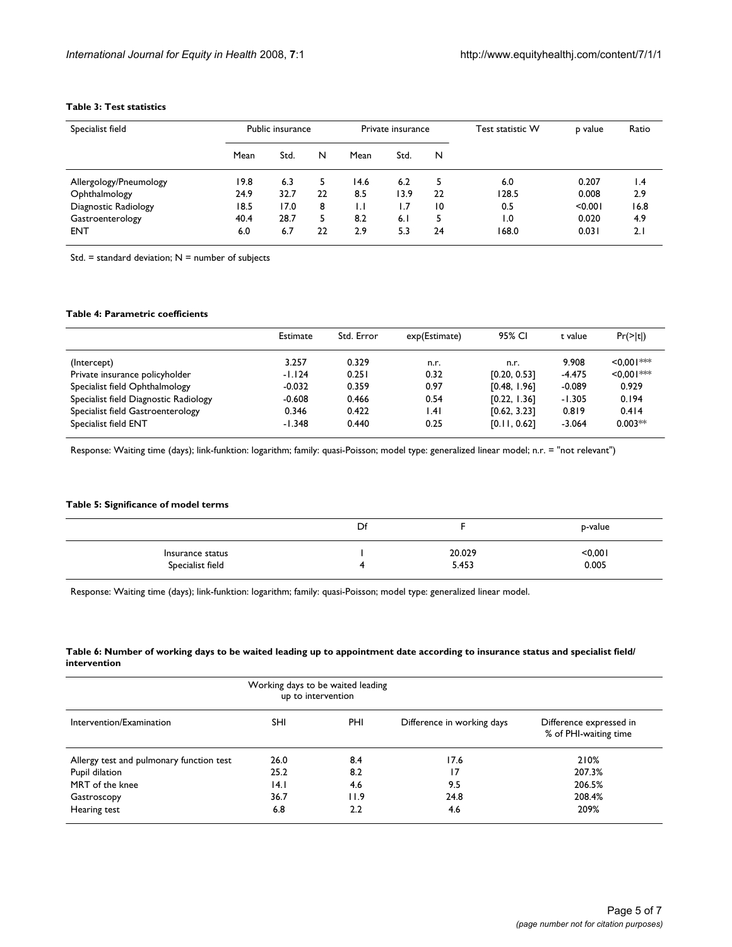#### **Table 3: Test statistics**

| Specialist field       | Public insurance |      |    | Private insurance |      |    | Test statistic W | p value | Ratio           |
|------------------------|------------------|------|----|-------------------|------|----|------------------|---------|-----------------|
|                        | Mean             | Std. | N  | Mean              | Std. | N  |                  |         |                 |
| Allergology/Pneumology | 19.8             | 6.3  |    | 14.6              | 6.2  |    | 6.0              | 0.207   | $\mathsf{I}$ .4 |
| Ophthalmology          | 24.9             | 32.7 | 22 | 8.5               | 13.9 | 22 | 128.5            | 0.008   | 2.9             |
| Diagnostic Radiology   | 18.5             | 17.0 | 8  | IJ                | 1.7  | 10 | 0.5              | < 0.001 | 16.8            |
| Gastroenterology       | 40.4             | 28.7 | 5  | 8.2               | 6.1  | 5  | 1.0              | 0.020   | 4.9             |
| <b>ENT</b>             | 6.0              | 6.7  | 22 | 2.9               | 5.3  | 24 | 168.0            | 0.031   | 2.1             |

Std. = standard deviation;  $N =$  number of subjects

#### **Table 4: Parametric coefficients**

|                                       | Estimate | Std. Error | exp(Estimate) | 95% CI       | t value  | $Pr(>\vert t \vert)$ |
|---------------------------------------|----------|------------|---------------|--------------|----------|----------------------|
| (Intercept)                           | 3.257    | 0.329      | n.r.          | n.r.         | 9.908    | $\leq 0.001$ ***     |
| Private insurance policyholder        | $-1.124$ | 0.251      | 0.32          | [0.20, 0.53] | $-4.475$ | $< 0.001$ ***        |
| Specialist field Ophthalmology        | $-0.032$ | 0.359      | 0.97          | [0.48, 1.96] | $-0.089$ | 0.929                |
| Specialist field Diagnostic Radiology | $-0.608$ | 0.466      | 0.54          | [0.22, 1.36] | $-1.305$ | 0.194                |
| Specialist field Gastroenterology     | 0.346    | 0.422      | l.41          | [0.62, 3.23] | 0.819    | 0.414                |
| Specialist field ENT                  | $-1.348$ | 0.440      | 0.25          | [0.11, 0.62] | $-3.064$ | $0.003**$            |

Response: Waiting time (days); link-funktion: logarithm; family: quasi-Poisson; model type: generalized linear model; n.r. = "not relevant")

#### **Table 5: Significance of model terms**

|                  | Df |        | p-value |
|------------------|----|--------|---------|
| Insurance status |    | 20.029 | < 0,001 |
| Specialist field |    | 5.453  | 0.005   |

Response: Waiting time (days); link-funktion: logarithm; family: quasi-Poisson; model type: generalized linear model.

#### **Table 6: Number of working days to be waited leading up to appointment date according to insurance status and specialist field/ intervention**

| Working days to be waited leading<br>up to intervention |            |      |                            |                                                  |  |  |  |
|---------------------------------------------------------|------------|------|----------------------------|--------------------------------------------------|--|--|--|
| Intervention/Examination                                | <b>SHI</b> | PHI  | Difference in working days | Difference expressed in<br>% of PHI-waiting time |  |  |  |
| Allergy test and pulmonary function test                | 26.0       | 8.4  | 17.6                       | 210%                                             |  |  |  |
| Pupil dilation                                          | 25.2       | 8.2  | $\overline{17}$            | 207.3%                                           |  |  |  |
| MRT of the knee                                         | 4.1        | 4.6  | 9.5                        | 206.5%                                           |  |  |  |
| Gastroscopy                                             | 36.7       | 11.9 | 24.8                       | 208.4%                                           |  |  |  |
| Hearing test                                            | 6.8        | 2.2  | 4.6                        | 209%                                             |  |  |  |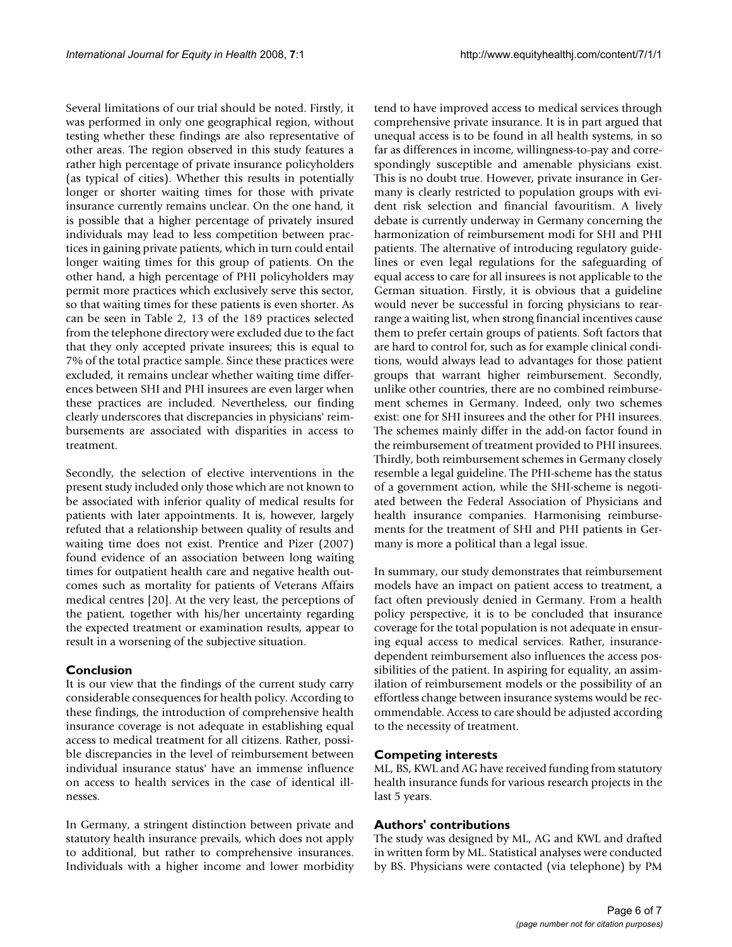Several limitations of our trial should be noted. Firstly, it was performed in only one geographical region, without testing whether these findings are also representative of other areas. The region observed in this study features a rather high percentage of private insurance policyholders (as typical of cities). Whether this results in potentially longer or shorter waiting times for those with private insurance currently remains unclear. On the one hand, it is possible that a higher percentage of privately insured individuals may lead to less competition between practices in gaining private patients, which in turn could entail longer waiting times for this group of patients. On the other hand, a high percentage of PHI policyholders may permit more practices which exclusively serve this sector, so that waiting times for these patients is even shorter. As can be seen in Table 2, 13 of the 189 practices selected from the telephone directory were excluded due to the fact that they only accepted private insurees; this is equal to 7% of the total practice sample. Since these practices were excluded, it remains unclear whether waiting time differences between SHI and PHI insurees are even larger when these practices are included. Nevertheless, our finding clearly underscores that discrepancies in physicians' reimbursements are associated with disparities in access to treatment.

Secondly, the selection of elective interventions in the present study included only those which are not known to be associated with inferior quality of medical results for patients with later appointments. It is, however, largely refuted that a relationship between quality of results and waiting time does not exist. Prentice and Pizer (2007) found evidence of an association between long waiting times for outpatient health care and negative health outcomes such as mortality for patients of Veterans Affairs medical centres [20]. At the very least, the perceptions of the patient, together with his/her uncertainty regarding the expected treatment or examination results, appear to result in a worsening of the subjective situation.

#### **Conclusion**

It is our view that the findings of the current study carry considerable consequences for health policy. According to these findings, the introduction of comprehensive health insurance coverage is not adequate in establishing equal access to medical treatment for all citizens. Rather, possible discrepancies in the level of reimbursement between individual insurance status' have an immense influence on access to health services in the case of identical illnesses.

In Germany, a stringent distinction between private and statutory health insurance prevails, which does not apply to additional, but rather to comprehensive insurances. Individuals with a higher income and lower morbidity tend to have improved access to medical services through comprehensive private insurance. It is in part argued that unequal access is to be found in all health systems, in so far as differences in income, willingness-to-pay and correspondingly susceptible and amenable physicians exist. This is no doubt true. However, private insurance in Germany is clearly restricted to population groups with evident risk selection and financial favouritism. A lively debate is currently underway in Germany concerning the harmonization of reimbursement modi for SHI and PHI patients. The alternative of introducing regulatory guidelines or even legal regulations for the safeguarding of equal access to care for all insurees is not applicable to the German situation. Firstly, it is obvious that a guideline would never be successful in forcing physicians to rearrange a waiting list, when strong financial incentives cause them to prefer certain groups of patients. Soft factors that are hard to control for, such as for example clinical conditions, would always lead to advantages for those patient groups that warrant higher reimbursement. Secondly, unlike other countries, there are no combined reimbursement schemes in Germany. Indeed, only two schemes exist: one for SHI insurees and the other for PHI insurees. The schemes mainly differ in the add-on factor found in the reimbursement of treatment provided to PHI insurees. Thirdly, both reimbursement schemes in Germany closely resemble a legal guideline. The PHI-scheme has the status of a government action, while the SHI-scheme is negotiated between the Federal Association of Physicians and health insurance companies. Harmonising reimbursements for the treatment of SHI and PHI patients in Germany is more a political than a legal issue.

In summary, our study demonstrates that reimbursement models have an impact on patient access to treatment, a fact often previously denied in Germany. From a health policy perspective, it is to be concluded that insurance coverage for the total population is not adequate in ensuring equal access to medical services. Rather, insurancedependent reimbursement also influences the access possibilities of the patient. In aspiring for equality, an assimilation of reimbursement models or the possibility of an effortless change between insurance systems would be recommendable. Access to care should be adjusted according to the necessity of treatment.

#### **Competing interests**

ML, BS, KWL and AG have received funding from statutory health insurance funds for various research projects in the last 5 years.

#### **Authors' contributions**

The study was designed by ML, AG and KWL and drafted in written form by ML. Statistical analyses were conducted by BS. Physicians were contacted (via telephone) by PM